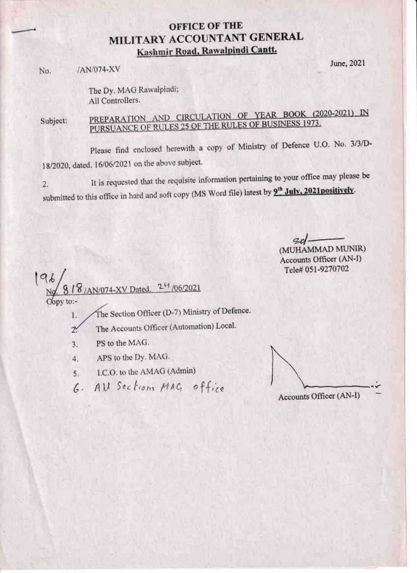# **OFFICE OF THE** MILITARY ACCOUNTANT GENERAL Kashmir Road, Rawalpindi Cantt.

/AN/074-XV No.

June, 2021

The Dy. MAG Rawalpindi; All Controllers.

PREPARATION AND CIRCULATION OF YEAR BOOK (2020-2021) IN Subject: PURSUANCE OF RULES 25 OF THE RULES OF BUSINESS 1973.

Please find enclosed herewith a copy of Ministry of Defence U.O. No. 3/3/D-18/2020, dated. 16/06/2021 on the above subject.

It is requested that the requisite information pertaining to your office may please be 2. submitted to this office in hard and soft copy (MS Word file) latest by 9<sup>th</sup> July, 2021positively.

> $azl$ (MUHAMMAD MUNIR)

Accounts Officer (AN-I) Tele# 051-9270702

196  $2^{11}/06/2021$ AN/074-XV Dated Copy to:-

The Section Officer (D-7) Ministry of Defence. L.

- The Accounts Officer (Automation) Local.  $2^{\circ}$
- PS to the MAG.  $3.$
- APS to the Dy. MAG. 4.
- I.C.O. to the AMAG (Admin)  $5.$
- All Sections MAG office  $6.$

Accounts Officer (AN-I)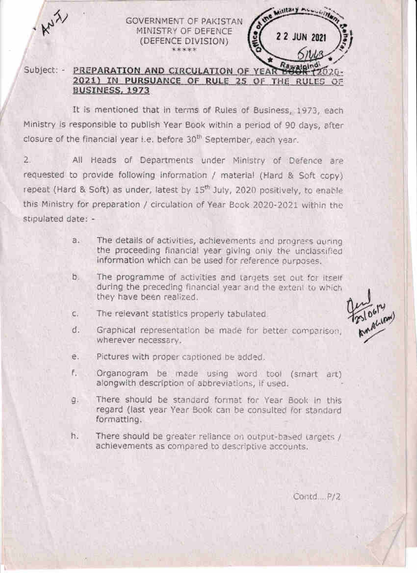**GOVERNMENT OF PAKISTAN** MINISTRY OF DEFENCE (DEFENCE DIVISION) \*\*\*\*\*

#### Subject: -PREPARATION AND CIRCULATION OF YEAR 2021) IN PURSUANCE OF RULE 25 OF THE RULES OF BUSINESS, 1973

It is mentioned that in terms of Rules of Business, 1973, each Ministry is responsible to publish Year Book within a period of 90 days, after closure of the financial year i.e. before 30<sup>th</sup> September, each year.

 $2.$ All Heads of Departments under Ministry of Defence are requested to provide following information / material (Hard & Soft copy) repeat (Hard & Soft) as under, latest by 15<sup>th</sup> July, 2020 positively, to enable this Ministry for preparation / circulation of Year Book 2020-2021 within the stipulated date: -

- The details of activities, achievements and progress gunng  $a.5$ the proceeding financial year giving only the unclassified information which can be used for reference purposes.
- b. The programme of activities and targets set out for itself during the preceding financial year and the extent to which they have been realized.
- The relevant statistics properly tabulated C.



- d. Graphical representation be made for better comparison, wherever necessary.
- Pictures with proper captioned be added. e.
- F. Organogram be made using word tool (smart art) alongwith description of abbreviations, if used.
- There should be standard format for Year Book in this 9. regard (last year Year Book can be consulted for standard formatting.
- h. There should be greater reliance on output-based targets / achievements as compared to descriptive accounts.

Contd P/2

Millary Association

2 2 JUN 2021